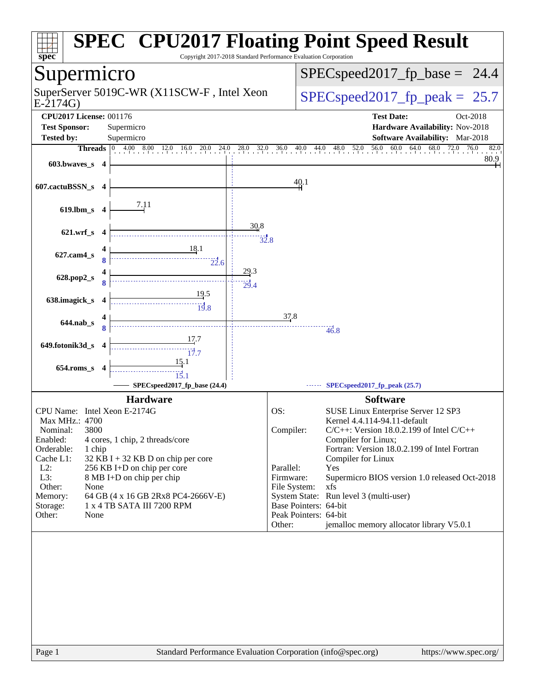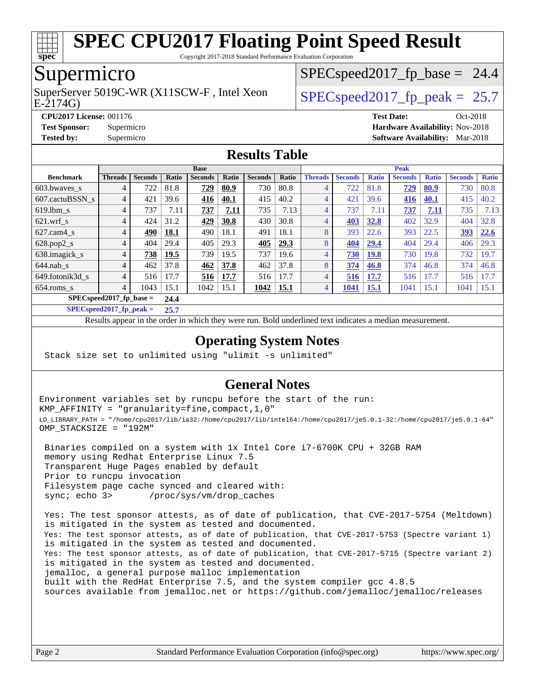

Copyright 2017-2018 Standard Performance Evaluation Corporation

### Supermicro

E-2174G) SuperServer 5019C-WR (X11SCW-F, Intel Xeon  $SPEC speed2017$  fp\_peak = 25.7

 $SPECspeed2017<sub>fp</sub> base = 24.4$ 

**[CPU2017 License:](http://www.spec.org/auto/cpu2017/Docs/result-fields.html#CPU2017License)** 001176 **[Test Date:](http://www.spec.org/auto/cpu2017/Docs/result-fields.html#TestDate)** Oct-2018

**[Test Sponsor:](http://www.spec.org/auto/cpu2017/Docs/result-fields.html#TestSponsor)** Supermicro **[Hardware Availability:](http://www.spec.org/auto/cpu2017/Docs/result-fields.html#HardwareAvailability)** Nov-2018

#### **[Tested by:](http://www.spec.org/auto/cpu2017/Docs/result-fields.html#Testedby)** Supermicro **[Software Availability:](http://www.spec.org/auto/cpu2017/Docs/result-fields.html#SoftwareAvailability)** Mar-2018 **[Results Table](http://www.spec.org/auto/cpu2017/Docs/result-fields.html#ResultsTable)**

|                                    | <b>Base</b>    |                |       |                |       | <b>Peak</b>    |       |                |                |              |                |              |                |              |
|------------------------------------|----------------|----------------|-------|----------------|-------|----------------|-------|----------------|----------------|--------------|----------------|--------------|----------------|--------------|
| <b>Benchmark</b>                   | <b>Threads</b> | <b>Seconds</b> | Ratio | <b>Seconds</b> | Ratio | <b>Seconds</b> | Ratio | <b>Threads</b> | <b>Seconds</b> | <b>Ratio</b> | <b>Seconds</b> | <b>Ratio</b> | <b>Seconds</b> | <b>Ratio</b> |
| 603.bwayes s                       | 4              | 722            | 81.8  | 729            | 80.9  | 730            | 80.8  | 4              | 722            | 81.8         | <u>729</u>     | 80.9         | 730            | 80.8         |
| 607.cactuBSSN s                    | 4              | 421            | 39.6  | 416            | 40.1  | 415            | 40.2  | $\overline{4}$ | 421            | 39.6         | 416            | 40.1         | 415            | 40.2         |
| $619.1$ bm s                       | 4              | 737            | 7.11  | 737            | 7.11  | 735            | 7.13  | $\overline{4}$ | 737            | 7.11         | 737            | 7.11         | 735            | 7.13         |
| $621$ .wrf s                       | 4              | 424            | 31.2  | 429            | 30.8  | 430            | 30.8  | $\overline{4}$ | 403            | 32.8         | 402            | 32.9         | 404            | 32.8         |
| $627$ .cam $4$ <sub>S</sub>        | 4              | 490            | 18.1  | 490            | 18.1  | 491            | 18.1  | 8              | 393            | 22.6         | 393            | 22.5         | 393            | 22.6         |
| $628.pop2_s$                       | 4              | 404            | 29.4  | 405            | 29.3  | 405            | 29.3  | 8              | 404            | 29.4         | 404            | 29.4         | 406            | 29.3         |
| 638.imagick_s                      | 4              | 738            | 19.5  | 739            | 19.5  | 737            | 19.6  | 4              | 730            | <b>19.8</b>  | 730            | 19.8         | 732            | 19.7         |
| $644$ .nab s                       | 4              | 462            | 37.8  | 462            | 37.8  | 462            | 37.8  | 8              | 374            | 46.8         | 374            | 46.8         | 374            | 46.8         |
| 649.fotonik3d s                    | 4              | 516            | 17.7  | 516            | 17.7  | 516            | 17.7  | 4              | 516            | 17.7         | 516            | 17.7         | 516            | 17.7         |
| $654$ .roms s                      | 4              | 1043           | 15.1  | 1042           | 15.1  | 1042           | 15.1  | $\overline{4}$ | 1041           | <u>15.1</u>  | 1041           | 15.1         | 1041           | 15.1         |
| $SPEC speed2017$ fp base =<br>24.4 |                |                |       |                |       |                |       |                |                |              |                |              |                |              |

**[SPECspeed2017\\_fp\\_peak =](http://www.spec.org/auto/cpu2017/Docs/result-fields.html#SPECspeed2017fppeak) 25.7**

Results appear in the [order in which they were run.](http://www.spec.org/auto/cpu2017/Docs/result-fields.html#RunOrder) Bold underlined text [indicates a median measurement](http://www.spec.org/auto/cpu2017/Docs/result-fields.html#Median).

#### **[Operating System Notes](http://www.spec.org/auto/cpu2017/Docs/result-fields.html#OperatingSystemNotes)**

Stack size set to unlimited using "ulimit -s unlimited"

#### **[General Notes](http://www.spec.org/auto/cpu2017/Docs/result-fields.html#GeneralNotes)**

Environment variables set by runcpu before the start of the run: KMP\_AFFINITY = "granularity=fine,compact,1,0" LD\_LIBRARY\_PATH = "/home/cpu2017/lib/ia32:/home/cpu2017/lib/intel64:/home/cpu2017/je5.0.1-32:/home/cpu2017/je5.0.1-64" OMP\_STACKSIZE = "192M"

 Binaries compiled on a system with 1x Intel Core i7-6700K CPU + 32GB RAM memory using Redhat Enterprise Linux 7.5 Transparent Huge Pages enabled by default Prior to runcpu invocation Filesystem page cache synced and cleared with: sync; echo 3> /proc/sys/vm/drop\_caches

 Yes: The test sponsor attests, as of date of publication, that CVE-2017-5754 (Meltdown) is mitigated in the system as tested and documented. Yes: The test sponsor attests, as of date of publication, that CVE-2017-5753 (Spectre variant 1) is mitigated in the system as tested and documented. Yes: The test sponsor attests, as of date of publication, that CVE-2017-5715 (Spectre variant 2) is mitigated in the system as tested and documented. jemalloc, a general purpose malloc implementation built with the RedHat Enterprise 7.5, and the system compiler gcc 4.8.5 sources available from jemalloc.net or <https://github.com/jemalloc/jemalloc/releases>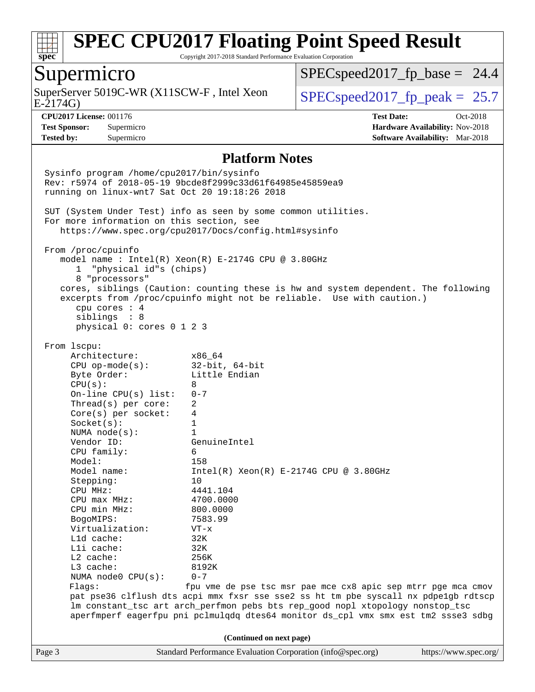

Copyright 2017-2018 Standard Performance Evaluation Corporation

### Supermicro

E-2174G) SuperServer 5019C-WR (X11SCW-F, Intel Xeon  $\big|$  [SPECspeed2017\\_fp\\_peak =](http://www.spec.org/auto/cpu2017/Docs/result-fields.html#SPECspeed2017fppeak) 25.7

 $SPECspeed2017<sub>fp</sub> base = 24.4$ 

**[CPU2017 License:](http://www.spec.org/auto/cpu2017/Docs/result-fields.html#CPU2017License)** 001176 **[Test Date:](http://www.spec.org/auto/cpu2017/Docs/result-fields.html#TestDate)** Oct-2018 **[Test Sponsor:](http://www.spec.org/auto/cpu2017/Docs/result-fields.html#TestSponsor)** Supermicro **[Hardware Availability:](http://www.spec.org/auto/cpu2017/Docs/result-fields.html#HardwareAvailability)** Nov-2018 **[Tested by:](http://www.spec.org/auto/cpu2017/Docs/result-fields.html#Testedby)** Supermicro **[Software Availability:](http://www.spec.org/auto/cpu2017/Docs/result-fields.html#SoftwareAvailability)** Mar-2018

#### **[Platform Notes](http://www.spec.org/auto/cpu2017/Docs/result-fields.html#PlatformNotes)**

Page 3 Standard Performance Evaluation Corporation [\(info@spec.org\)](mailto:info@spec.org) <https://www.spec.org/> Sysinfo program /home/cpu2017/bin/sysinfo Rev: r5974 of 2018-05-19 9bcde8f2999c33d61f64985e45859ea9 running on linux-wnt7 Sat Oct 20 19:18:26 2018 SUT (System Under Test) info as seen by some common utilities. For more information on this section, see <https://www.spec.org/cpu2017/Docs/config.html#sysinfo> From /proc/cpuinfo model name : Intel(R) Xeon(R) E-2174G CPU @ 3.80GHz 1 "physical id"s (chips) 8 "processors" cores, siblings (Caution: counting these is hw and system dependent. The following excerpts from /proc/cpuinfo might not be reliable. Use with caution.) cpu cores : 4 siblings : 8 physical 0: cores 0 1 2 3 From lscpu: Architecture: x86\_64 CPU op-mode(s): 32-bit, 64-bit Byte Order: Little Endian  $CPU(s): 8$  On-line CPU(s) list: 0-7 Thread(s) per core: 2 Core(s) per socket: 4 Socket(s): 1 NUMA node(s): 1 Vendor ID: GenuineIntel CPU family: 6 Model: 158<br>Model name: 1158  $Intel(R)$  Xeon(R) E-2174G CPU @ 3.80GHz Stepping: 10 CPU MHz: 4441.104 CPU max MHz: 4700.0000 CPU min MHz: 800.0000 BogoMIPS: 7583.99 Virtualization: VT-x L1d cache: 32K L1i cache: 32K L2 cache: 256K L3 cache: 8192K NUMA node0 CPU(s): 0-7 Flags: fpu vme de pse tsc msr pae mce cx8 apic sep mtrr pge mca cmov pat pse36 clflush dts acpi mmx fxsr sse sse2 ss ht tm pbe syscall nx pdpe1gb rdtscp lm constant\_tsc art arch\_perfmon pebs bts rep\_good nopl xtopology nonstop\_tsc aperfmperf eagerfpu pni pclmulqdq dtes64 monitor ds\_cpl vmx smx est tm2 ssse3 sdbg **(Continued on next page)**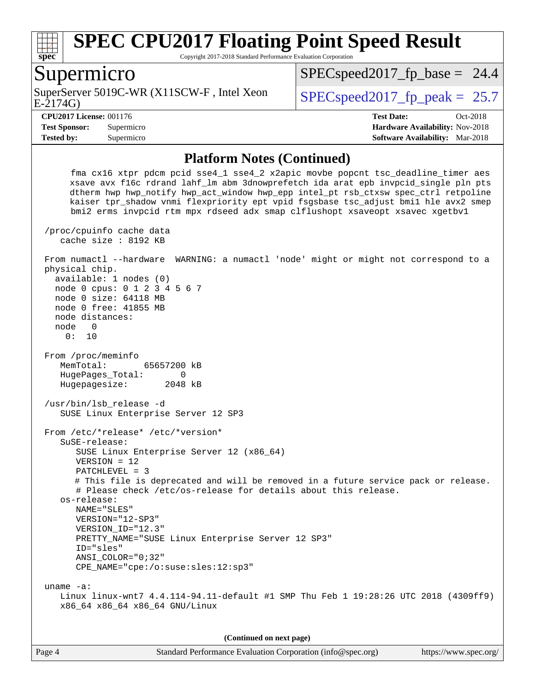

Copyright 2017-2018 Standard Performance Evaluation Corporation

#### Supermicro

E-2174G) SuperServer 5019C-WR (X11SCW-F, Intel Xeon  $SPEC speed2017$  fp\_peak = 25.7

 $SPECspeed2017<sub>fp</sub> base = 24.4$ 

**[Tested by:](http://www.spec.org/auto/cpu2017/Docs/result-fields.html#Testedby)** Supermicro **[Software Availability:](http://www.spec.org/auto/cpu2017/Docs/result-fields.html#SoftwareAvailability)** Mar-2018

**[CPU2017 License:](http://www.spec.org/auto/cpu2017/Docs/result-fields.html#CPU2017License)** 001176 **[Test Date:](http://www.spec.org/auto/cpu2017/Docs/result-fields.html#TestDate)** Oct-2018 **[Test Sponsor:](http://www.spec.org/auto/cpu2017/Docs/result-fields.html#TestSponsor)** Supermicro **[Hardware Availability:](http://www.spec.org/auto/cpu2017/Docs/result-fields.html#HardwareAvailability)** Nov-2018

#### **[Platform Notes \(Continued\)](http://www.spec.org/auto/cpu2017/Docs/result-fields.html#PlatformNotes)**

 fma cx16 xtpr pdcm pcid sse4\_1 sse4\_2 x2apic movbe popcnt tsc\_deadline\_timer aes xsave avx f16c rdrand lahf\_lm abm 3dnowprefetch ida arat epb invpcid\_single pln pts dtherm hwp hwp\_notify hwp\_act\_window hwp\_epp intel\_pt rsb\_ctxsw spec\_ctrl retpoline kaiser tpr\_shadow vnmi flexpriority ept vpid fsgsbase tsc\_adjust bmi1 hle avx2 smep bmi2 erms invpcid rtm mpx rdseed adx smap clflushopt xsaveopt xsavec xgetbv1 /proc/cpuinfo cache data cache size : 8192 KB From numactl --hardware WARNING: a numactl 'node' might or might not correspond to a physical chip. available: 1 nodes (0) node 0 cpus: 0 1 2 3 4 5 6 7 node 0 size: 64118 MB node 0 free: 41855 MB node distances: node 0 0: 10 From /proc/meminfo MemTotal: 65657200 kB HugePages\_Total: 0 Hugepagesize: 2048 kB /usr/bin/lsb\_release -d SUSE Linux Enterprise Server 12 SP3 From /etc/\*release\* /etc/\*version\* SuSE-release: SUSE Linux Enterprise Server 12 (x86\_64) VERSION = 12 PATCHLEVEL = 3 # This file is deprecated and will be removed in a future service pack or release. # Please check /etc/os-release for details about this release. os-release: NAME="SLES" VERSION="12-SP3" VERSION\_ID="12.3" PRETTY\_NAME="SUSE Linux Enterprise Server 12 SP3" ID="sles" ANSI\_COLOR="0;32" CPE\_NAME="cpe:/o:suse:sles:12:sp3" uname -a: Linux linux-wnt7 4.4.114-94.11-default #1 SMP Thu Feb 1 19:28:26 UTC 2018 (4309ff9) x86\_64 x86\_64 x86\_64 GNU/Linux

**(Continued on next page)**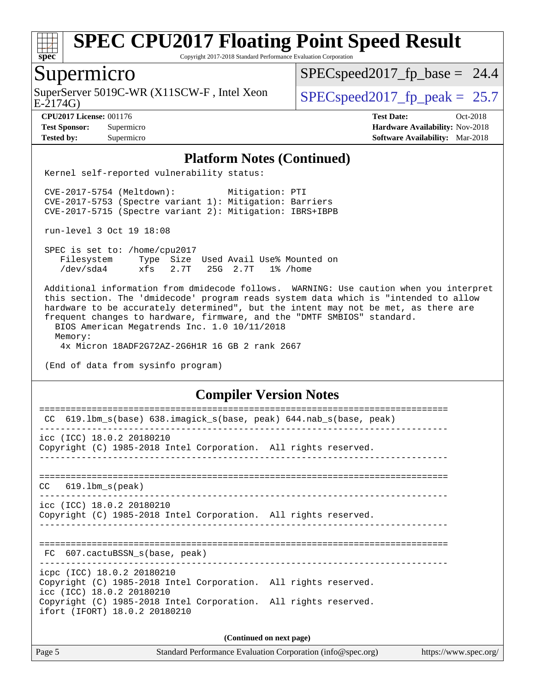

Copyright 2017-2018 Standard Performance Evaluation Corporation

### Supermicro

SuperServer 5019C-WR (X11SCW-F, Intel Xeon  $\big|$  [SPECspeed2017\\_fp\\_peak =](http://www.spec.org/auto/cpu2017/Docs/result-fields.html#SPECspeed2017fppeak) 25.7

 $SPECspeed2017<sub>fp</sub> base = 24.4$ 

E-2174G)

#### **[CPU2017 License:](http://www.spec.org/auto/cpu2017/Docs/result-fields.html#CPU2017License)** 001176 **[Test Date:](http://www.spec.org/auto/cpu2017/Docs/result-fields.html#TestDate)** Oct-2018

**[Test Sponsor:](http://www.spec.org/auto/cpu2017/Docs/result-fields.html#TestSponsor)** Supermicro **[Hardware Availability:](http://www.spec.org/auto/cpu2017/Docs/result-fields.html#HardwareAvailability)** Nov-2018 **[Tested by:](http://www.spec.org/auto/cpu2017/Docs/result-fields.html#Testedby)** Supermicro **[Software Availability:](http://www.spec.org/auto/cpu2017/Docs/result-fields.html#SoftwareAvailability)** Mar-2018

#### **[Platform Notes \(Continued\)](http://www.spec.org/auto/cpu2017/Docs/result-fields.html#PlatformNotes)**

Kernel self-reported vulnerability status:

 CVE-2017-5754 (Meltdown): Mitigation: PTI CVE-2017-5753 (Spectre variant 1): Mitigation: Barriers CVE-2017-5715 (Spectre variant 2): Mitigation: IBRS+IBPB

run-level 3 Oct 19 18:08

 SPEC is set to: /home/cpu2017 Filesystem Type Size Used Avail Use% Mounted on /dev/sda4 xfs 2.7T 25G 2.7T 1% /home

 Additional information from dmidecode follows. WARNING: Use caution when you interpret this section. The 'dmidecode' program reads system data which is "intended to allow hardware to be accurately determined", but the intent may not be met, as there are frequent changes to hardware, firmware, and the "DMTF SMBIOS" standard. BIOS American Megatrends Inc. 1.0 10/11/2018 Memory:

4x Micron 18ADF2G72AZ-2G6H1R 16 GB 2 rank 2667

(End of data from sysinfo program)

#### **[Compiler Version Notes](http://www.spec.org/auto/cpu2017/Docs/result-fields.html#CompilerVersionNotes)**

| 619.1bm s(base) 638.imagick s(base, peak) 644.nab s(base, peak)<br>CC.                                                     |  |  |  |  |  |  |
|----------------------------------------------------------------------------------------------------------------------------|--|--|--|--|--|--|
| icc (ICC) 18.0.2 20180210<br>Copyright (C) 1985-2018 Intel Corporation. All rights reserved.                               |  |  |  |  |  |  |
|                                                                                                                            |  |  |  |  |  |  |
| $CC$ 619.1bm $s$ (peak)                                                                                                    |  |  |  |  |  |  |
| $\text{icc}$ (ICC) 18.0.2 20180210<br>Copyright (C) 1985-2018 Intel Corporation. All rights reserved.                      |  |  |  |  |  |  |
| FC 607.cactuBSSN s(base, peak)                                                                                             |  |  |  |  |  |  |
| icpc (ICC) 18.0.2 20180210<br>Copyright (C) 1985-2018 Intel Corporation. All rights reserved.<br>icc (ICC) 18.0.2 20180210 |  |  |  |  |  |  |
| Copyright (C) 1985-2018 Intel Corporation. All rights reserved.<br>ifort (IFORT) 18.0.2 20180210                           |  |  |  |  |  |  |
| (Continued on next page)                                                                                                   |  |  |  |  |  |  |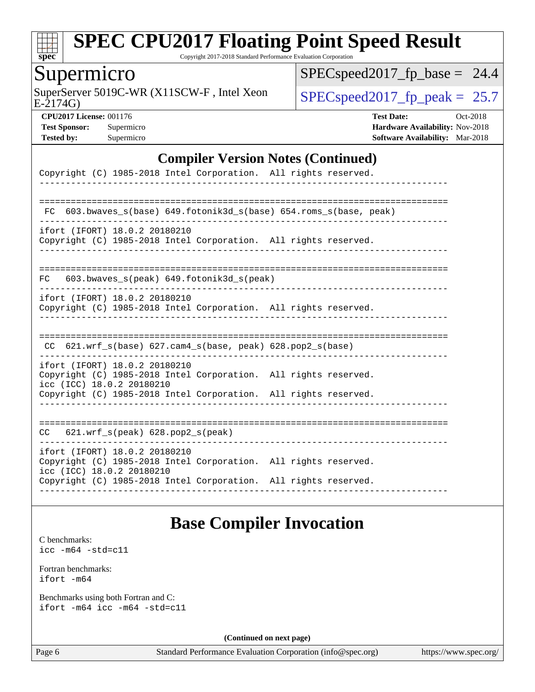

Copyright 2017-2018 Standard Performance Evaluation Corporation

### Supermicro

E-2174G) SuperServer 5019C-WR (X11SCW-F, Intel Xeon  $SPEC speed2017_f$  peak = 25.7

 $SPEC speed2017_fp\_base = 24.4$ 

**[CPU2017 License:](http://www.spec.org/auto/cpu2017/Docs/result-fields.html#CPU2017License)** 001176 **[Test Date:](http://www.spec.org/auto/cpu2017/Docs/result-fields.html#TestDate)** Oct-2018 **[Test Sponsor:](http://www.spec.org/auto/cpu2017/Docs/result-fields.html#TestSponsor)** Supermicro **[Hardware Availability:](http://www.spec.org/auto/cpu2017/Docs/result-fields.html#HardwareAvailability)** Nov-2018 **[Tested by:](http://www.spec.org/auto/cpu2017/Docs/result-fields.html#Testedby)** Supermicro **[Software Availability:](http://www.spec.org/auto/cpu2017/Docs/result-fields.html#SoftwareAvailability)** Mar-2018

#### **[Compiler Version Notes \(Continued\)](http://www.spec.org/auto/cpu2017/Docs/result-fields.html#CompilerVersionNotes)**

| Copyright (C) 1985-2018 Intel Corporation. All rights reserved.                                                                                                                                  |  |
|--------------------------------------------------------------------------------------------------------------------------------------------------------------------------------------------------|--|
|                                                                                                                                                                                                  |  |
| 603.bwaves_s(base) 649.fotonik3d_s(base) 654.roms_s(base, peak)<br>FC                                                                                                                            |  |
| ifort (IFORT) 18.0.2 20180210<br>Copyright (C) 1985-2018 Intel Corporation. All rights reserved.                                                                                                 |  |
| 603.bwaves_s(peak) 649.fotonik3d_s(peak)<br>FC.                                                                                                                                                  |  |
| ifort (IFORT) 18.0.2 20180210<br>Copyright (C) 1985-2018 Intel Corporation. All rights reserved.                                                                                                 |  |
| CC 621.wrf_s(base) 627.cam4_s(base, peak) 628.pop2_s(base)                                                                                                                                       |  |
| ifort (IFORT) 18.0.2 20180210<br>Copyright (C) 1985-2018 Intel Corporation. All rights reserved.<br>icc (ICC) 18.0.2 20180210                                                                    |  |
| Copyright (C) 1985-2018 Intel Corporation. All rights reserved.                                                                                                                                  |  |
| $CC$ $621.wrf_s(peak)$ $628.pop2_s(peak)$                                                                                                                                                        |  |
| ifort (IFORT) 18.0.2 20180210<br>Copyright (C) 1985-2018 Intel Corporation. All rights reserved.<br>icc (ICC) 18.0.2 20180210<br>Copyright (C) 1985-2018 Intel Corporation. All rights reserved. |  |
|                                                                                                                                                                                                  |  |

### **[Base Compiler Invocation](http://www.spec.org/auto/cpu2017/Docs/result-fields.html#BaseCompilerInvocation)**

[C benchmarks](http://www.spec.org/auto/cpu2017/Docs/result-fields.html#Cbenchmarks): [icc -m64 -std=c11](http://www.spec.org/cpu2017/results/res2018q4/cpu2017-20181112-09641.flags.html#user_CCbase_intel_icc_64bit_c11_33ee0cdaae7deeeab2a9725423ba97205ce30f63b9926c2519791662299b76a0318f32ddfffdc46587804de3178b4f9328c46fa7c2b0cd779d7a61945c91cd35)

|              | Fortran benchmarks: |
|--------------|---------------------|
| $ifort -m64$ |                     |

|  |  | Benchmarks using both Fortran and C: |
|--|--|--------------------------------------|
|  |  | ifort -m64 icc -m64 -std=c11         |

**(Continued on next page)**

Page 6 Standard Performance Evaluation Corporation [\(info@spec.org\)](mailto:info@spec.org) <https://www.spec.org/>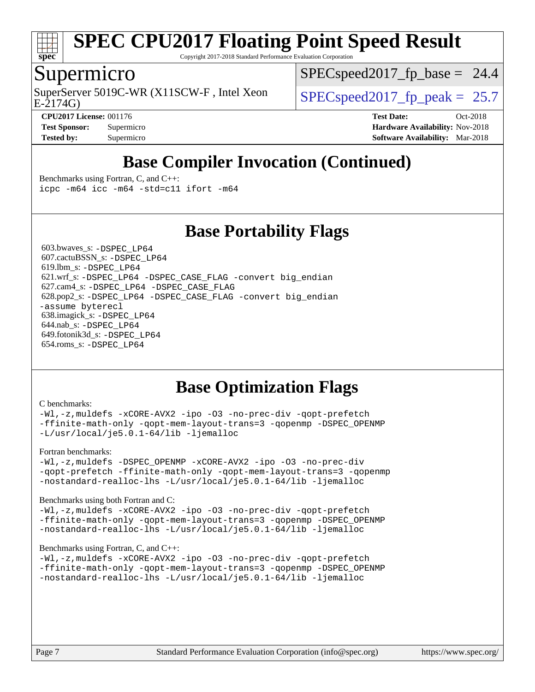

Copyright 2017-2018 Standard Performance Evaluation Corporation

### Supermicro

SuperServer 5019C-WR (X11SCW-F, Intel Xeon  $SPEC speed2017$  fp\_peak = 25.7

 $SPECspeed2017<sub>fp</sub> base = 24.4$ 

E-2174G)

**[CPU2017 License:](http://www.spec.org/auto/cpu2017/Docs/result-fields.html#CPU2017License)** 001176 **[Test Date:](http://www.spec.org/auto/cpu2017/Docs/result-fields.html#TestDate)** Oct-2018 **[Test Sponsor:](http://www.spec.org/auto/cpu2017/Docs/result-fields.html#TestSponsor)** Supermicro **[Hardware Availability:](http://www.spec.org/auto/cpu2017/Docs/result-fields.html#HardwareAvailability)** Nov-2018 **[Tested by:](http://www.spec.org/auto/cpu2017/Docs/result-fields.html#Testedby)** Supermicro **[Software Availability:](http://www.spec.org/auto/cpu2017/Docs/result-fields.html#SoftwareAvailability)** Mar-2018

## **[Base Compiler Invocation \(Continued\)](http://www.spec.org/auto/cpu2017/Docs/result-fields.html#BaseCompilerInvocation)**

[Benchmarks using Fortran, C, and C++:](http://www.spec.org/auto/cpu2017/Docs/result-fields.html#BenchmarksusingFortranCandCXX)

[icpc -m64](http://www.spec.org/cpu2017/results/res2018q4/cpu2017-20181112-09641.flags.html#user_CC_CXX_FCbase_intel_icpc_64bit_4ecb2543ae3f1412ef961e0650ca070fec7b7afdcd6ed48761b84423119d1bf6bdf5cad15b44d48e7256388bc77273b966e5eb805aefd121eb22e9299b2ec9d9) [icc -m64 -std=c11](http://www.spec.org/cpu2017/results/res2018q4/cpu2017-20181112-09641.flags.html#user_CC_CXX_FCbase_intel_icc_64bit_c11_33ee0cdaae7deeeab2a9725423ba97205ce30f63b9926c2519791662299b76a0318f32ddfffdc46587804de3178b4f9328c46fa7c2b0cd779d7a61945c91cd35) [ifort -m64](http://www.spec.org/cpu2017/results/res2018q4/cpu2017-20181112-09641.flags.html#user_CC_CXX_FCbase_intel_ifort_64bit_24f2bb282fbaeffd6157abe4f878425411749daecae9a33200eee2bee2fe76f3b89351d69a8130dd5949958ce389cf37ff59a95e7a40d588e8d3a57e0c3fd751)

### **[Base Portability Flags](http://www.spec.org/auto/cpu2017/Docs/result-fields.html#BasePortabilityFlags)**

 603.bwaves\_s: [-DSPEC\\_LP64](http://www.spec.org/cpu2017/results/res2018q4/cpu2017-20181112-09641.flags.html#suite_basePORTABILITY603_bwaves_s_DSPEC_LP64) 607.cactuBSSN\_s: [-DSPEC\\_LP64](http://www.spec.org/cpu2017/results/res2018q4/cpu2017-20181112-09641.flags.html#suite_basePORTABILITY607_cactuBSSN_s_DSPEC_LP64) 619.lbm\_s: [-DSPEC\\_LP64](http://www.spec.org/cpu2017/results/res2018q4/cpu2017-20181112-09641.flags.html#suite_basePORTABILITY619_lbm_s_DSPEC_LP64) 621.wrf\_s: [-DSPEC\\_LP64](http://www.spec.org/cpu2017/results/res2018q4/cpu2017-20181112-09641.flags.html#suite_basePORTABILITY621_wrf_s_DSPEC_LP64) [-DSPEC\\_CASE\\_FLAG](http://www.spec.org/cpu2017/results/res2018q4/cpu2017-20181112-09641.flags.html#b621.wrf_s_baseCPORTABILITY_DSPEC_CASE_FLAG) [-convert big\\_endian](http://www.spec.org/cpu2017/results/res2018q4/cpu2017-20181112-09641.flags.html#user_baseFPORTABILITY621_wrf_s_convert_big_endian_c3194028bc08c63ac5d04de18c48ce6d347e4e562e8892b8bdbdc0214820426deb8554edfa529a3fb25a586e65a3d812c835984020483e7e73212c4d31a38223) 627.cam4\_s: [-DSPEC\\_LP64](http://www.spec.org/cpu2017/results/res2018q4/cpu2017-20181112-09641.flags.html#suite_basePORTABILITY627_cam4_s_DSPEC_LP64) [-DSPEC\\_CASE\\_FLAG](http://www.spec.org/cpu2017/results/res2018q4/cpu2017-20181112-09641.flags.html#b627.cam4_s_baseCPORTABILITY_DSPEC_CASE_FLAG) 628.pop2\_s: [-DSPEC\\_LP64](http://www.spec.org/cpu2017/results/res2018q4/cpu2017-20181112-09641.flags.html#suite_basePORTABILITY628_pop2_s_DSPEC_LP64) [-DSPEC\\_CASE\\_FLAG](http://www.spec.org/cpu2017/results/res2018q4/cpu2017-20181112-09641.flags.html#b628.pop2_s_baseCPORTABILITY_DSPEC_CASE_FLAG) [-convert big\\_endian](http://www.spec.org/cpu2017/results/res2018q4/cpu2017-20181112-09641.flags.html#user_baseFPORTABILITY628_pop2_s_convert_big_endian_c3194028bc08c63ac5d04de18c48ce6d347e4e562e8892b8bdbdc0214820426deb8554edfa529a3fb25a586e65a3d812c835984020483e7e73212c4d31a38223) [-assume byterecl](http://www.spec.org/cpu2017/results/res2018q4/cpu2017-20181112-09641.flags.html#user_baseFPORTABILITY628_pop2_s_assume_byterecl_7e47d18b9513cf18525430bbf0f2177aa9bf368bc7a059c09b2c06a34b53bd3447c950d3f8d6c70e3faf3a05c8557d66a5798b567902e8849adc142926523472) 638.imagick\_s: [-DSPEC\\_LP64](http://www.spec.org/cpu2017/results/res2018q4/cpu2017-20181112-09641.flags.html#suite_basePORTABILITY638_imagick_s_DSPEC_LP64) 644.nab\_s: [-DSPEC\\_LP64](http://www.spec.org/cpu2017/results/res2018q4/cpu2017-20181112-09641.flags.html#suite_basePORTABILITY644_nab_s_DSPEC_LP64) 649.fotonik3d\_s: [-DSPEC\\_LP64](http://www.spec.org/cpu2017/results/res2018q4/cpu2017-20181112-09641.flags.html#suite_basePORTABILITY649_fotonik3d_s_DSPEC_LP64) 654.roms\_s: [-DSPEC\\_LP64](http://www.spec.org/cpu2017/results/res2018q4/cpu2017-20181112-09641.flags.html#suite_basePORTABILITY654_roms_s_DSPEC_LP64)

## **[Base Optimization Flags](http://www.spec.org/auto/cpu2017/Docs/result-fields.html#BaseOptimizationFlags)**

#### [C benchmarks](http://www.spec.org/auto/cpu2017/Docs/result-fields.html#Cbenchmarks):

[-Wl,-z,muldefs](http://www.spec.org/cpu2017/results/res2018q4/cpu2017-20181112-09641.flags.html#user_CCbase_link_force_multiple1_b4cbdb97b34bdee9ceefcfe54f4c8ea74255f0b02a4b23e853cdb0e18eb4525ac79b5a88067c842dd0ee6996c24547a27a4b99331201badda8798ef8a743f577) [-xCORE-AVX2](http://www.spec.org/cpu2017/results/res2018q4/cpu2017-20181112-09641.flags.html#user_CCbase_f-xCORE-AVX2) [-ipo](http://www.spec.org/cpu2017/results/res2018q4/cpu2017-20181112-09641.flags.html#user_CCbase_f-ipo) [-O3](http://www.spec.org/cpu2017/results/res2018q4/cpu2017-20181112-09641.flags.html#user_CCbase_f-O3) [-no-prec-div](http://www.spec.org/cpu2017/results/res2018q4/cpu2017-20181112-09641.flags.html#user_CCbase_f-no-prec-div) [-qopt-prefetch](http://www.spec.org/cpu2017/results/res2018q4/cpu2017-20181112-09641.flags.html#user_CCbase_f-qopt-prefetch) [-ffinite-math-only](http://www.spec.org/cpu2017/results/res2018q4/cpu2017-20181112-09641.flags.html#user_CCbase_f_finite_math_only_cb91587bd2077682c4b38af759c288ed7c732db004271a9512da14a4f8007909a5f1427ecbf1a0fb78ff2a814402c6114ac565ca162485bbcae155b5e4258871) [-qopt-mem-layout-trans=3](http://www.spec.org/cpu2017/results/res2018q4/cpu2017-20181112-09641.flags.html#user_CCbase_f-qopt-mem-layout-trans_de80db37974c74b1f0e20d883f0b675c88c3b01e9d123adea9b28688d64333345fb62bc4a798493513fdb68f60282f9a726aa07f478b2f7113531aecce732043) [-qopenmp](http://www.spec.org/cpu2017/results/res2018q4/cpu2017-20181112-09641.flags.html#user_CCbase_qopenmp_16be0c44f24f464004c6784a7acb94aca937f053568ce72f94b139a11c7c168634a55f6653758ddd83bcf7b8463e8028bb0b48b77bcddc6b78d5d95bb1df2967) [-DSPEC\\_OPENMP](http://www.spec.org/cpu2017/results/res2018q4/cpu2017-20181112-09641.flags.html#suite_CCbase_DSPEC_OPENMP) [-L/usr/local/je5.0.1-64/lib](http://www.spec.org/cpu2017/results/res2018q4/cpu2017-20181112-09641.flags.html#user_CCbase_jemalloc_link_path64_4b10a636b7bce113509b17f3bd0d6226c5fb2346b9178c2d0232c14f04ab830f976640479e5c33dc2bcbbdad86ecfb6634cbbd4418746f06f368b512fced5394) [-ljemalloc](http://www.spec.org/cpu2017/results/res2018q4/cpu2017-20181112-09641.flags.html#user_CCbase_jemalloc_link_lib_d1249b907c500fa1c0672f44f562e3d0f79738ae9e3c4a9c376d49f265a04b9c99b167ecedbf6711b3085be911c67ff61f150a17b3472be731631ba4d0471706)

#### [Fortran benchmarks](http://www.spec.org/auto/cpu2017/Docs/result-fields.html#Fortranbenchmarks):

[-Wl,-z,muldefs](http://www.spec.org/cpu2017/results/res2018q4/cpu2017-20181112-09641.flags.html#user_FCbase_link_force_multiple1_b4cbdb97b34bdee9ceefcfe54f4c8ea74255f0b02a4b23e853cdb0e18eb4525ac79b5a88067c842dd0ee6996c24547a27a4b99331201badda8798ef8a743f577) [-DSPEC\\_OPENMP](http://www.spec.org/cpu2017/results/res2018q4/cpu2017-20181112-09641.flags.html#suite_FCbase_DSPEC_OPENMP) [-xCORE-AVX2](http://www.spec.org/cpu2017/results/res2018q4/cpu2017-20181112-09641.flags.html#user_FCbase_f-xCORE-AVX2) [-ipo](http://www.spec.org/cpu2017/results/res2018q4/cpu2017-20181112-09641.flags.html#user_FCbase_f-ipo) [-O3](http://www.spec.org/cpu2017/results/res2018q4/cpu2017-20181112-09641.flags.html#user_FCbase_f-O3) [-no-prec-div](http://www.spec.org/cpu2017/results/res2018q4/cpu2017-20181112-09641.flags.html#user_FCbase_f-no-prec-div) [-qopt-prefetch](http://www.spec.org/cpu2017/results/res2018q4/cpu2017-20181112-09641.flags.html#user_FCbase_f-qopt-prefetch) [-ffinite-math-only](http://www.spec.org/cpu2017/results/res2018q4/cpu2017-20181112-09641.flags.html#user_FCbase_f_finite_math_only_cb91587bd2077682c4b38af759c288ed7c732db004271a9512da14a4f8007909a5f1427ecbf1a0fb78ff2a814402c6114ac565ca162485bbcae155b5e4258871) [-qopt-mem-layout-trans=3](http://www.spec.org/cpu2017/results/res2018q4/cpu2017-20181112-09641.flags.html#user_FCbase_f-qopt-mem-layout-trans_de80db37974c74b1f0e20d883f0b675c88c3b01e9d123adea9b28688d64333345fb62bc4a798493513fdb68f60282f9a726aa07f478b2f7113531aecce732043) [-qopenmp](http://www.spec.org/cpu2017/results/res2018q4/cpu2017-20181112-09641.flags.html#user_FCbase_qopenmp_16be0c44f24f464004c6784a7acb94aca937f053568ce72f94b139a11c7c168634a55f6653758ddd83bcf7b8463e8028bb0b48b77bcddc6b78d5d95bb1df2967) [-nostandard-realloc-lhs](http://www.spec.org/cpu2017/results/res2018q4/cpu2017-20181112-09641.flags.html#user_FCbase_f_2003_std_realloc_82b4557e90729c0f113870c07e44d33d6f5a304b4f63d4c15d2d0f1fab99f5daaed73bdb9275d9ae411527f28b936061aa8b9c8f2d63842963b95c9dd6426b8a) [-L/usr/local/je5.0.1-64/lib](http://www.spec.org/cpu2017/results/res2018q4/cpu2017-20181112-09641.flags.html#user_FCbase_jemalloc_link_path64_4b10a636b7bce113509b17f3bd0d6226c5fb2346b9178c2d0232c14f04ab830f976640479e5c33dc2bcbbdad86ecfb6634cbbd4418746f06f368b512fced5394) [-ljemalloc](http://www.spec.org/cpu2017/results/res2018q4/cpu2017-20181112-09641.flags.html#user_FCbase_jemalloc_link_lib_d1249b907c500fa1c0672f44f562e3d0f79738ae9e3c4a9c376d49f265a04b9c99b167ecedbf6711b3085be911c67ff61f150a17b3472be731631ba4d0471706)

#### [Benchmarks using both Fortran and C](http://www.spec.org/auto/cpu2017/Docs/result-fields.html#BenchmarksusingbothFortranandC):

[-Wl,-z,muldefs](http://www.spec.org/cpu2017/results/res2018q4/cpu2017-20181112-09641.flags.html#user_CC_FCbase_link_force_multiple1_b4cbdb97b34bdee9ceefcfe54f4c8ea74255f0b02a4b23e853cdb0e18eb4525ac79b5a88067c842dd0ee6996c24547a27a4b99331201badda8798ef8a743f577) [-xCORE-AVX2](http://www.spec.org/cpu2017/results/res2018q4/cpu2017-20181112-09641.flags.html#user_CC_FCbase_f-xCORE-AVX2) [-ipo](http://www.spec.org/cpu2017/results/res2018q4/cpu2017-20181112-09641.flags.html#user_CC_FCbase_f-ipo) [-O3](http://www.spec.org/cpu2017/results/res2018q4/cpu2017-20181112-09641.flags.html#user_CC_FCbase_f-O3) [-no-prec-div](http://www.spec.org/cpu2017/results/res2018q4/cpu2017-20181112-09641.flags.html#user_CC_FCbase_f-no-prec-div) [-qopt-prefetch](http://www.spec.org/cpu2017/results/res2018q4/cpu2017-20181112-09641.flags.html#user_CC_FCbase_f-qopt-prefetch) [-ffinite-math-only](http://www.spec.org/cpu2017/results/res2018q4/cpu2017-20181112-09641.flags.html#user_CC_FCbase_f_finite_math_only_cb91587bd2077682c4b38af759c288ed7c732db004271a9512da14a4f8007909a5f1427ecbf1a0fb78ff2a814402c6114ac565ca162485bbcae155b5e4258871) [-qopt-mem-layout-trans=3](http://www.spec.org/cpu2017/results/res2018q4/cpu2017-20181112-09641.flags.html#user_CC_FCbase_f-qopt-mem-layout-trans_de80db37974c74b1f0e20d883f0b675c88c3b01e9d123adea9b28688d64333345fb62bc4a798493513fdb68f60282f9a726aa07f478b2f7113531aecce732043) [-qopenmp](http://www.spec.org/cpu2017/results/res2018q4/cpu2017-20181112-09641.flags.html#user_CC_FCbase_qopenmp_16be0c44f24f464004c6784a7acb94aca937f053568ce72f94b139a11c7c168634a55f6653758ddd83bcf7b8463e8028bb0b48b77bcddc6b78d5d95bb1df2967) [-DSPEC\\_OPENMP](http://www.spec.org/cpu2017/results/res2018q4/cpu2017-20181112-09641.flags.html#suite_CC_FCbase_DSPEC_OPENMP) [-nostandard-realloc-lhs](http://www.spec.org/cpu2017/results/res2018q4/cpu2017-20181112-09641.flags.html#user_CC_FCbase_f_2003_std_realloc_82b4557e90729c0f113870c07e44d33d6f5a304b4f63d4c15d2d0f1fab99f5daaed73bdb9275d9ae411527f28b936061aa8b9c8f2d63842963b95c9dd6426b8a) [-L/usr/local/je5.0.1-64/lib](http://www.spec.org/cpu2017/results/res2018q4/cpu2017-20181112-09641.flags.html#user_CC_FCbase_jemalloc_link_path64_4b10a636b7bce113509b17f3bd0d6226c5fb2346b9178c2d0232c14f04ab830f976640479e5c33dc2bcbbdad86ecfb6634cbbd4418746f06f368b512fced5394) [-ljemalloc](http://www.spec.org/cpu2017/results/res2018q4/cpu2017-20181112-09641.flags.html#user_CC_FCbase_jemalloc_link_lib_d1249b907c500fa1c0672f44f562e3d0f79738ae9e3c4a9c376d49f265a04b9c99b167ecedbf6711b3085be911c67ff61f150a17b3472be731631ba4d0471706)

#### [Benchmarks using Fortran, C, and C++:](http://www.spec.org/auto/cpu2017/Docs/result-fields.html#BenchmarksusingFortranCandCXX)

[-Wl,-z,muldefs](http://www.spec.org/cpu2017/results/res2018q4/cpu2017-20181112-09641.flags.html#user_CC_CXX_FCbase_link_force_multiple1_b4cbdb97b34bdee9ceefcfe54f4c8ea74255f0b02a4b23e853cdb0e18eb4525ac79b5a88067c842dd0ee6996c24547a27a4b99331201badda8798ef8a743f577) [-xCORE-AVX2](http://www.spec.org/cpu2017/results/res2018q4/cpu2017-20181112-09641.flags.html#user_CC_CXX_FCbase_f-xCORE-AVX2) [-ipo](http://www.spec.org/cpu2017/results/res2018q4/cpu2017-20181112-09641.flags.html#user_CC_CXX_FCbase_f-ipo) [-O3](http://www.spec.org/cpu2017/results/res2018q4/cpu2017-20181112-09641.flags.html#user_CC_CXX_FCbase_f-O3) [-no-prec-div](http://www.spec.org/cpu2017/results/res2018q4/cpu2017-20181112-09641.flags.html#user_CC_CXX_FCbase_f-no-prec-div) [-qopt-prefetch](http://www.spec.org/cpu2017/results/res2018q4/cpu2017-20181112-09641.flags.html#user_CC_CXX_FCbase_f-qopt-prefetch) [-ffinite-math-only](http://www.spec.org/cpu2017/results/res2018q4/cpu2017-20181112-09641.flags.html#user_CC_CXX_FCbase_f_finite_math_only_cb91587bd2077682c4b38af759c288ed7c732db004271a9512da14a4f8007909a5f1427ecbf1a0fb78ff2a814402c6114ac565ca162485bbcae155b5e4258871) [-qopt-mem-layout-trans=3](http://www.spec.org/cpu2017/results/res2018q4/cpu2017-20181112-09641.flags.html#user_CC_CXX_FCbase_f-qopt-mem-layout-trans_de80db37974c74b1f0e20d883f0b675c88c3b01e9d123adea9b28688d64333345fb62bc4a798493513fdb68f60282f9a726aa07f478b2f7113531aecce732043) [-qopenmp](http://www.spec.org/cpu2017/results/res2018q4/cpu2017-20181112-09641.flags.html#user_CC_CXX_FCbase_qopenmp_16be0c44f24f464004c6784a7acb94aca937f053568ce72f94b139a11c7c168634a55f6653758ddd83bcf7b8463e8028bb0b48b77bcddc6b78d5d95bb1df2967) [-DSPEC\\_OPENMP](http://www.spec.org/cpu2017/results/res2018q4/cpu2017-20181112-09641.flags.html#suite_CC_CXX_FCbase_DSPEC_OPENMP) [-nostandard-realloc-lhs](http://www.spec.org/cpu2017/results/res2018q4/cpu2017-20181112-09641.flags.html#user_CC_CXX_FCbase_f_2003_std_realloc_82b4557e90729c0f113870c07e44d33d6f5a304b4f63d4c15d2d0f1fab99f5daaed73bdb9275d9ae411527f28b936061aa8b9c8f2d63842963b95c9dd6426b8a) [-L/usr/local/je5.0.1-64/lib](http://www.spec.org/cpu2017/results/res2018q4/cpu2017-20181112-09641.flags.html#user_CC_CXX_FCbase_jemalloc_link_path64_4b10a636b7bce113509b17f3bd0d6226c5fb2346b9178c2d0232c14f04ab830f976640479e5c33dc2bcbbdad86ecfb6634cbbd4418746f06f368b512fced5394) [-ljemalloc](http://www.spec.org/cpu2017/results/res2018q4/cpu2017-20181112-09641.flags.html#user_CC_CXX_FCbase_jemalloc_link_lib_d1249b907c500fa1c0672f44f562e3d0f79738ae9e3c4a9c376d49f265a04b9c99b167ecedbf6711b3085be911c67ff61f150a17b3472be731631ba4d0471706)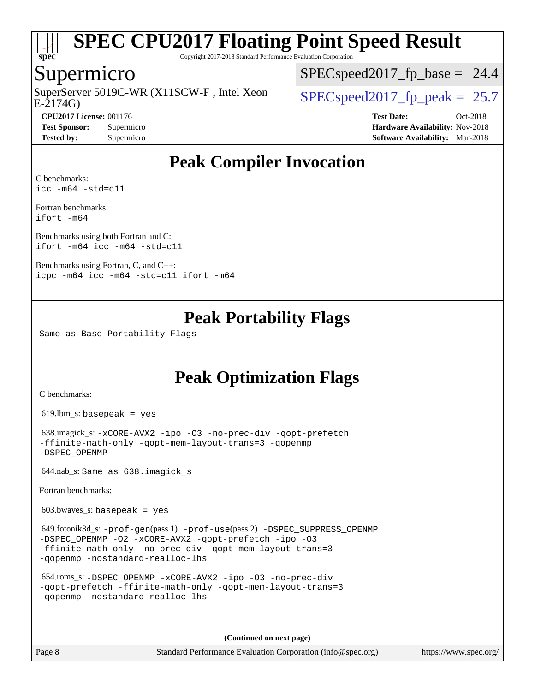

Copyright 2017-2018 Standard Performance Evaluation Corporation

### Supermicro

E-2174G) SuperServer 5019C-WR (X11SCW-F, Intel Xeon  $\big|$  [SPECspeed2017\\_fp\\_peak =](http://www.spec.org/auto/cpu2017/Docs/result-fields.html#SPECspeed2017fppeak) 25.7

 $SPECspeed2017<sub>fp</sub> base = 24.4$ 

**[CPU2017 License:](http://www.spec.org/auto/cpu2017/Docs/result-fields.html#CPU2017License)** 001176 **[Test Date:](http://www.spec.org/auto/cpu2017/Docs/result-fields.html#TestDate)** Oct-2018 **[Test Sponsor:](http://www.spec.org/auto/cpu2017/Docs/result-fields.html#TestSponsor)** Supermicro **[Hardware Availability:](http://www.spec.org/auto/cpu2017/Docs/result-fields.html#HardwareAvailability)** Nov-2018 **[Tested by:](http://www.spec.org/auto/cpu2017/Docs/result-fields.html#Testedby)** Supermicro **[Software Availability:](http://www.spec.org/auto/cpu2017/Docs/result-fields.html#SoftwareAvailability)** Mar-2018

### **[Peak Compiler Invocation](http://www.spec.org/auto/cpu2017/Docs/result-fields.html#PeakCompilerInvocation)**

[C benchmarks](http://www.spec.org/auto/cpu2017/Docs/result-fields.html#Cbenchmarks): [icc -m64 -std=c11](http://www.spec.org/cpu2017/results/res2018q4/cpu2017-20181112-09641.flags.html#user_CCpeak_intel_icc_64bit_c11_33ee0cdaae7deeeab2a9725423ba97205ce30f63b9926c2519791662299b76a0318f32ddfffdc46587804de3178b4f9328c46fa7c2b0cd779d7a61945c91cd35)

[Fortran benchmarks](http://www.spec.org/auto/cpu2017/Docs/result-fields.html#Fortranbenchmarks): [ifort -m64](http://www.spec.org/cpu2017/results/res2018q4/cpu2017-20181112-09641.flags.html#user_FCpeak_intel_ifort_64bit_24f2bb282fbaeffd6157abe4f878425411749daecae9a33200eee2bee2fe76f3b89351d69a8130dd5949958ce389cf37ff59a95e7a40d588e8d3a57e0c3fd751)

[Benchmarks using both Fortran and C](http://www.spec.org/auto/cpu2017/Docs/result-fields.html#BenchmarksusingbothFortranandC): [ifort -m64](http://www.spec.org/cpu2017/results/res2018q4/cpu2017-20181112-09641.flags.html#user_CC_FCpeak_intel_ifort_64bit_24f2bb282fbaeffd6157abe4f878425411749daecae9a33200eee2bee2fe76f3b89351d69a8130dd5949958ce389cf37ff59a95e7a40d588e8d3a57e0c3fd751) [icc -m64 -std=c11](http://www.spec.org/cpu2017/results/res2018q4/cpu2017-20181112-09641.flags.html#user_CC_FCpeak_intel_icc_64bit_c11_33ee0cdaae7deeeab2a9725423ba97205ce30f63b9926c2519791662299b76a0318f32ddfffdc46587804de3178b4f9328c46fa7c2b0cd779d7a61945c91cd35)

[Benchmarks using Fortran, C, and C++:](http://www.spec.org/auto/cpu2017/Docs/result-fields.html#BenchmarksusingFortranCandCXX) [icpc -m64](http://www.spec.org/cpu2017/results/res2018q4/cpu2017-20181112-09641.flags.html#user_CC_CXX_FCpeak_intel_icpc_64bit_4ecb2543ae3f1412ef961e0650ca070fec7b7afdcd6ed48761b84423119d1bf6bdf5cad15b44d48e7256388bc77273b966e5eb805aefd121eb22e9299b2ec9d9) [icc -m64 -std=c11](http://www.spec.org/cpu2017/results/res2018q4/cpu2017-20181112-09641.flags.html#user_CC_CXX_FCpeak_intel_icc_64bit_c11_33ee0cdaae7deeeab2a9725423ba97205ce30f63b9926c2519791662299b76a0318f32ddfffdc46587804de3178b4f9328c46fa7c2b0cd779d7a61945c91cd35) [ifort -m64](http://www.spec.org/cpu2017/results/res2018q4/cpu2017-20181112-09641.flags.html#user_CC_CXX_FCpeak_intel_ifort_64bit_24f2bb282fbaeffd6157abe4f878425411749daecae9a33200eee2bee2fe76f3b89351d69a8130dd5949958ce389cf37ff59a95e7a40d588e8d3a57e0c3fd751)

### **[Peak Portability Flags](http://www.spec.org/auto/cpu2017/Docs/result-fields.html#PeakPortabilityFlags)**

Same as Base Portability Flags

### **[Peak Optimization Flags](http://www.spec.org/auto/cpu2017/Docs/result-fields.html#PeakOptimizationFlags)**

[C benchmarks](http://www.spec.org/auto/cpu2017/Docs/result-fields.html#Cbenchmarks):

619.lbm\_s: basepeak = yes

```
 638.imagick_s: -xCORE-AVX2 -ipo -O3 -no-prec-div -qopt-prefetch
-ffinite-math-only -qopt-mem-layout-trans=3 -qopenmp
-DSPEC_OPENMP
```
644.nab\_s: Same as 638.imagick\_s

[Fortran benchmarks](http://www.spec.org/auto/cpu2017/Docs/result-fields.html#Fortranbenchmarks):

 $603.bwaves$  s: basepeak = yes

```
 649.fotonik3d_s: -prof-gen(pass 1) -prof-use(pass 2) -DSPEC_SUPPRESS_OPENMP
-DSPEC_OPENMP -O2 -xCORE-AVX2 -qopt-prefetch -ipo -O3
-ffinite-math-only -no-prec-div -qopt-mem-layout-trans=3
-qopenmp -nostandard-realloc-lhs
```

```
 654.roms_s: -DSPEC_OPENMP -xCORE-AVX2 -ipo -O3 -no-prec-div
-qopt-prefetch -ffinite-math-only -qopt-mem-layout-trans=3
-qopenmp -nostandard-realloc-lhs
```
**(Continued on next page)**